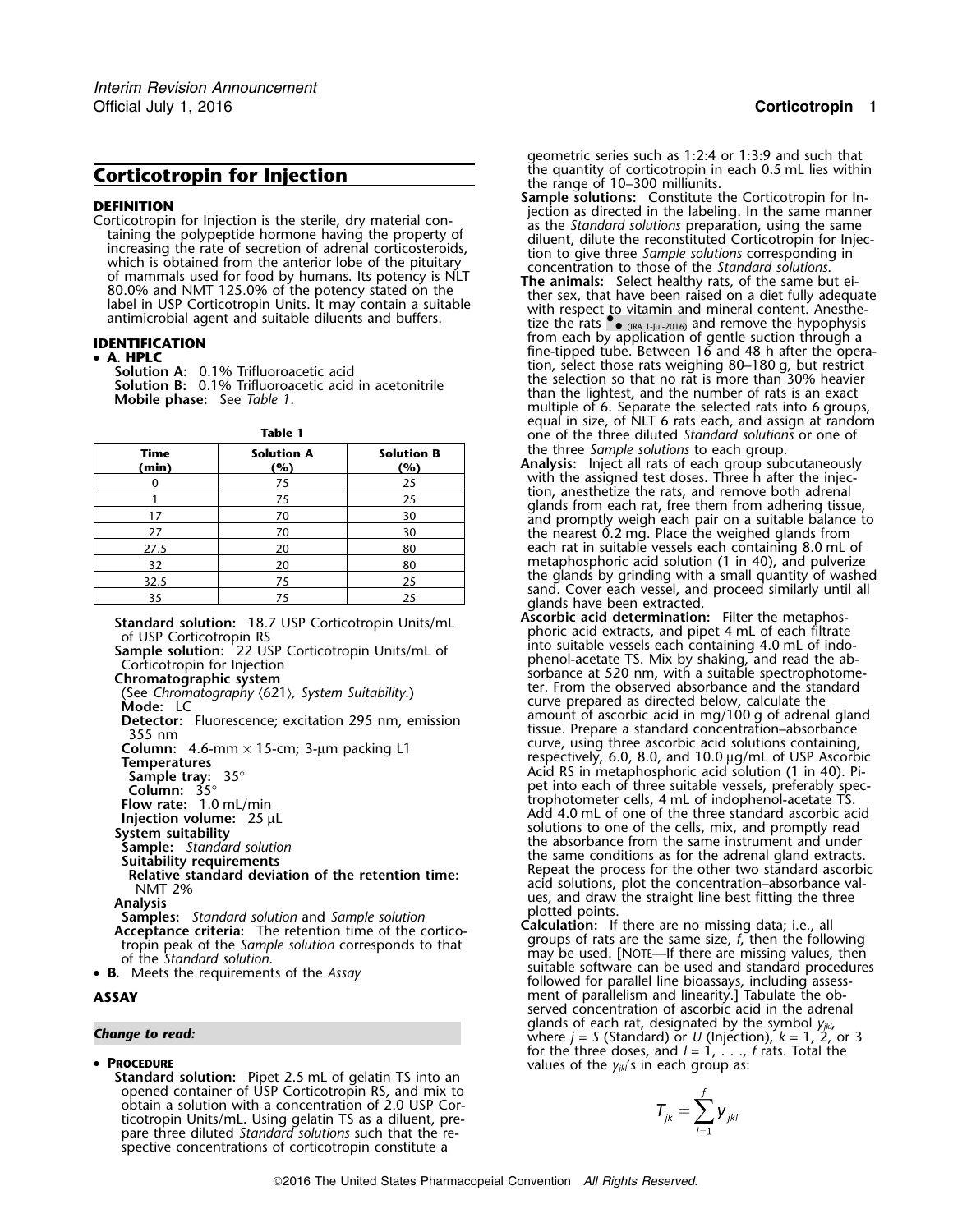**DEFINITION**<br>
Contrictoropin for Injection is the sterile, dry material con-<br>
contrictoropin for Injection is the sterile, dry material con-<br>
as the *Standard solutions* preparation, using the same<br>
diluent, dilute the rec

| <b>Time</b><br>(min) | <b>Solution A</b><br>(%) | <b>Solution B</b><br>(%) |
|----------------------|--------------------------|--------------------------|
| 0                    | 75                       | 25                       |
|                      | 75                       | 25                       |
| 17                   | 70                       | 30                       |
| 27                   | 70                       | 30                       |
| 27.5                 | 20                       | 80                       |
| 32                   | 20                       | 80                       |
| 32.5                 | 75                       | 25                       |
| 35                   | 75                       | 25                       |

# •

**PROCEDURE**<br> **Standard solution:** Pipet 2.5 mL of gelatin TS into an values of the  $y_{jk}$ 's in each group as: opened container of USP Corticotropin RS, and mix to obtain a solution with a concentration of 2.0 USP Corticotropin Units/mL. Using gelatin TS as a diluent, prepare three diluted *Standard solutions* such that the respective concentrations of corticotropin constitute a

*.* geometric series such as 1:2:4 or 1:3:9 and such that

- **Corticotropin for Injection**<br> **Corticotropin for Injection**<br> **CEFINITION**<br> **CEFINITION**<br> **CEFINITION**<br> **CEFINITION**<br> **CEFINITION**<br> **CEFINITION**<br> **CEFINITION**<br> **CEFINITION**<br> **CEFINITION**<br> **CEFINITION**<br> **CEFINITION**<br> **CEFIN**
- (IRA 1-Jul-2016) and remove the hypophysis from each by application of gentle suction through a **IDENTIFICATION** fine-tipped tube. Between 16 and 48 h after the opera- •**A. HPLC**<br>
Solution A: 0.1% Trifluoroacetic acid<br>
Solution B: 0.1% Trifluoroacetic acid<br>
Solution B: 0.1% Trifluoroacetic acid in acetonitrile<br>
Mobile phase: See Table 1.<br>
Mobile phase: See Table 1.<br>
Mobile phase: See Tabl Mobile phase: See *Table 1*. Than the lightest, and the number of rats is an exact See *Table 1*. Mobile phase: See *Table 1*. Mobile phase: See *Table 1*. Multiple of 6. Separate the selected rats into 6 groups, equal in **Table 1** and **Table 1** one of the three diluted *Standard solutions* or one of the three diluted *Standard solutions* or one of **the three Sample solutions to each group.** 
	- Analysis: Inject all rats of each group subcutaneously with the assigned test doses. Three h after the injecwith the assigned test doses. Three h after the injec- <sup>0</sup> <sup>75</sup> <sup>25</sup> tion, anesthetize the rats, and remove both adrenal <sup>1</sup> <sup>75</sup> <sup>25</sup> <sup>g</sup>lands from each rat, free them from adhering tissue, <sup>17</sup> <sup>70</sup> <sup>30</sup> and promptly weigh each pair on a suitable balance to <sup>27</sup> <sup>70</sup> <sup>30</sup> the nearest 0.2 mg. Place the weighed glands from each rat in suitable vessels each containing 8.0 mL of metaphosphoric acid solution (1 in 40), and pulverize the glands by grinding with a small quantity of washed sand. Cover each vessel, and proceed similarly until all glands have been extracted.<br>Ascorbic acid determination: Filter the metaphos-
- Standard solution: 18.7 USP Corticotropin Units/mL<br>
of USP Corticotropin RS<br>
Sample solution: 22 USP Corticotropin Units/mL<br>
Sample solution: 22 USP Corticotropin Units/mL of<br>
Corticotropin for Injection<br>
Chromatographic s (See Chromatography  $\langle 621 \rangle$ , System Suitability.)<br>
Mode: LC<br>
Detector: Fluorescence; excitation 295 nm, emission<br>
355 nm<br>  $\langle 355 \rangle$  nm  $\langle 45 \rangle$  nm  $\langle 15 \rangle$  cm  $\langle 3 \rangle$  um packing 11 Column: 4.6-mm × 15-cm; 3-µm packing L1<br>
Curve, using three ascorbic acid solutions containing,<br>
Temperatures<br>
Sample tray: 35°<br>
Column: 35°<br>
Column: 35°<br>
Column: 35°<br>
Column: 35°<br>
Column: 35°<br>
Column: 35°<br>
Column: 35°<br>
C
- **B.** Meets the requirements of the *Assay* for the *Assay* suitable software can be used and standard procedures **B.** Meets the requirements of the *Assay* followed for parallel line bioassays, including assess-**ASSAY** ment of parallelism and linearity.] Tabulate the observed concentration of ascorbic acid in the adrenal **Change to read:** Change to read: *Change* to read: *S* (Standard) or *U* (Injection), *k* = 1, 2, or 3 for the three doses, and  $l = 1, \ldots, f$  rats. Total the

$$
\mathcal{T}_{jk} = \sum_{l=1}^f \boldsymbol{y}_{jkl}
$$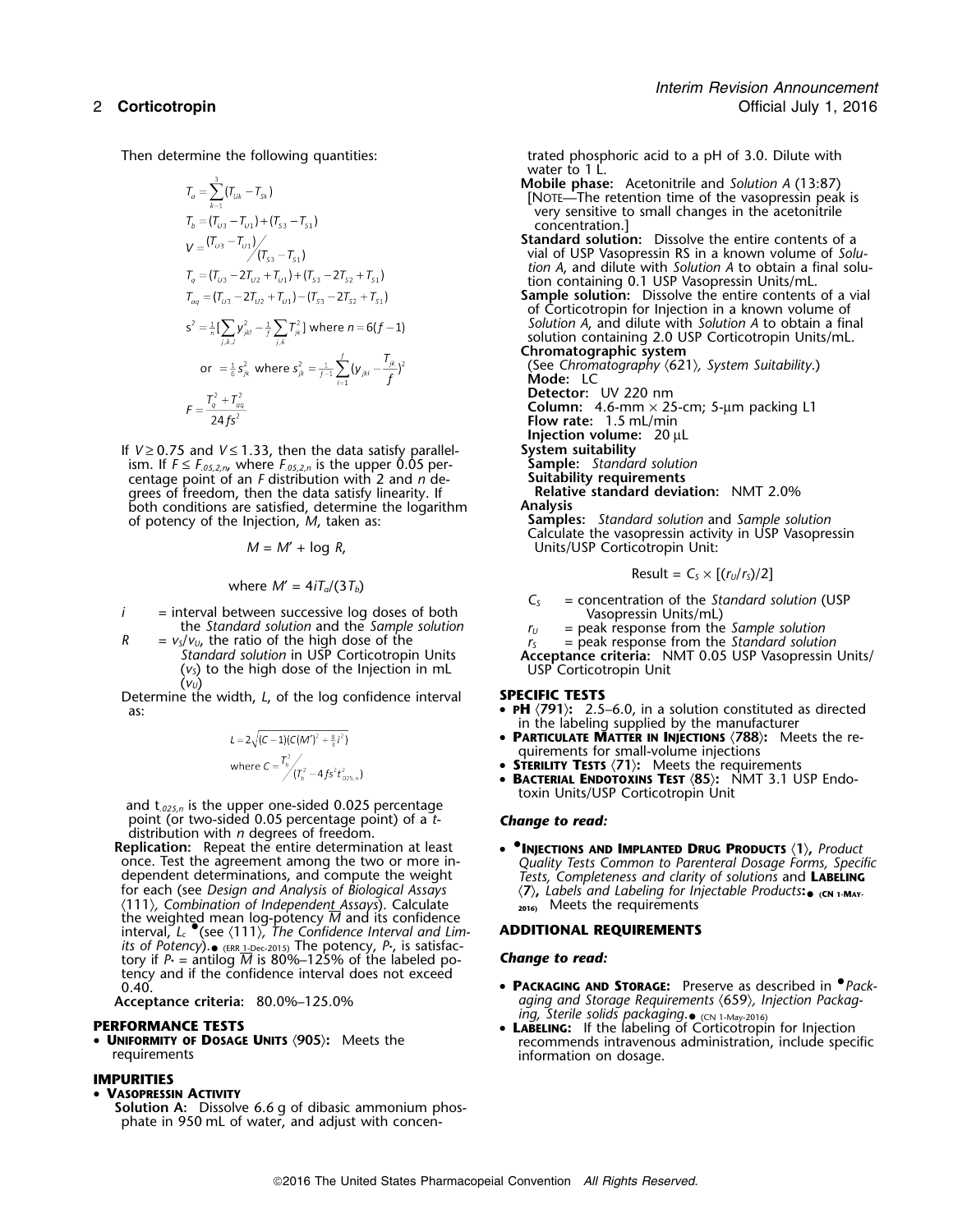$$
T_o = \sum_{k=1}^{5} (T_{U_k} - T_{S_k})
$$
  
\n
$$
T_b = (T_{U_3} - T_{U_1}) + (T_{S_3} - T_{S_1})
$$
  
\n
$$
V = (T_{U_3} - T_{U_1}) / (T_{S_3} - T_{S_1})
$$
  
\n
$$
T_q = (T_{U_3} - 2T_{U_2} + T_{U_1}) + (T_{S_3} - 2T_{S_2} + T_{S_1})
$$
  
\n
$$
T_{oa} = (T_{U_3} - 2T_{U_2} + T_{U_1}) - (T_{S_3} - 2T_{S_2} + T_{S_1})
$$
  
\n
$$
S^2 = \frac{1}{n} \left[ \sum_{j,k,l} y_{jkl}^2 - \frac{1}{j} \sum_{j,k} T_{jk}^2 \right]
$$
 where  $n = 6(f - 1)$   
\nor  $= \frac{1}{6} S_{jk}^2$  where  $S_{jk}^2 = \frac{1}{f-1} \sum_{l=1}^{f} (y_{jkl} - \frac{T_{jk}}{f})^2$   
\n
$$
F = \frac{T_q^2 + T_{oa}^2}{24fS^2}
$$

If *<sup>V</sup>* <sup>≥</sup> 0.75 and *<sup>V</sup>* <sup>≤</sup> 1.33, then the data satisfy parallel- **System suitability** ism. If *<sup>F</sup>* <sup>≤</sup> *<sup>F</sup>.05,2,n*, where *F.05,2,n* is the upper 0.05 per- **Sample:** *Standard solution* centage point of an *F* distribution with 2 and *n* de-<br>
genes of freedom, then the data satisfy linearity. If **Suitability requirements**<br>
Relative standard deviation: NMT 2.0% grees of freedom, then the data satisfy linearity. If **Relative standard Relative Standard Relativ**<br>both conditions are satisfied, determine the logarithm **Analysis** both conditions are satisfied, determine the logarithm of potency of the Injection, *M*, taken as:

$$
M = M' + \log R,
$$

where 
$$
M' = 4iT_a/(3T_b)
$$
   
where  $M' = 4iT_a/(3T_b)$ 

- *i* = interval between successive log doses of both<br>
the *Standard solution* and the *Sample solution*<br>  $R = v_s/v_u$ , the ratio of the high dose of the<br> *Standard solution* in USP Corticotropin Units<br>  $\begin{array}{rcl}\nC_s &= {\rm concentration of the Standard solution} \\
V_s$ 
	- -

Determine the width, *L*, of the log confidence interval as:

$$
L = 2\sqrt{(C-1)(C(M')^{2} + \frac{8}{3}i^{2})}
$$
  
where  $C = \frac{T_{b}^{2}}{(T_{b}^{2} - 4fs^{2}t_{.025,n}^{2})}$ 

and t<sub>.025,n</sub> is the upper one-sided 0.025 percentage point (or two-sided 0.05 percentage point) of a *t*- **Change to read:**<br>distribution with *n* degrees of freedom.<br>**Replication:** Repeat the entire determination at least **•** INJECTIONS AND

for each (see *Design and Analysis of Biological Assays* 〈**7**〉**,** *Labels and Labeling for Injectable Products***:•**〈111〉*, Combination of Independent Assays*). Calculate **2016)** Meets the requirements the weighted mean log-potency *M* and its confidence interval, *L<sup>c</sup>* •.(see 〈111〉*, The Confidence Interval and Lim-* **ADDITIONAL REQUIREMENTS** *its of Potency*).• (ERR 1-Dec-2015) The potency, *P*\*, is satisfactory if *P*<sub>\*</sub> = antilog  $\overline{M}$  is 80%–125% of the labeled po- **Change to read:** tency and if the confidence interval does not exceed

## **PERFORMANCE TESTS** •

•

# **IMPURITIES**

## • **VASOPRESSIN ACTIVITY**

**Solution A:** Dissolve 6.6 g of dibasic ammonium phosphate in 950 mL of water, and adjust with concen-

Then determine the following quantities: trated phosphoric acid to a pH of 3.0. Dilute with water to 1 L.

- **Mobile phase:** Acetonitrile and *Solution A* (13:87) [NOTE—The retention time of the vasopressin peak is very sensitive to small changes in the acetonitrile concentration.]
- **Standard solution:** Dissolve the entire contents of a vial of USP Vasopressin RS in a known volume of *Solution A*, and dilute with *Solution A* to obtain a final solution containing 0.1 USP Vasopressin Units/mL.
- **Sample solution:** Dissolve the entire contents of a vial of Corticotropin for Injection in a known volume of *Solution A*, and dilute with *Solution A* to obtain a final solution containing 2.0 USP Corticotropin Units/mL.

**Chromatographic system**

(See *Chromatography* 〈621〉*, System Suitability*.) **Mode:** LC **Detector:** UV 220 nm

**Column:** 4.6-mm × 25-cm; 5-µm packing L1

- **Flow rate:** 1.5 mL/min
- **Injection volume:** 20 µL<br>System suitability
- 

**Samples:** *Standard solution* and *Sample solution* Calculate the vasopressin activity in USP Vasopressin *Units/USP Corticotropin Unit:* 

$$
Result = CS \times [(rU/rS)/2]
$$

- 
- 
- 
- *Standard solution* in USP Corticotropin Units<br>
(*v<sub>S</sub>*) to the high dose of the Injection in mL USP Corticotropin Unit (*v<sub><i>U*</sub></sub>)<br>
e the width. *L*. of the log confidence interval **SPECIFIC TESTS**

- **PH**  $\langle$ **791** $\rangle$ : 2.5–6.0, in a solution constituted as directed in the labeling supplied by the manufacturer
- • **PARTICULATE MATTER IN INJECTIONS** 〈**788**〉**:** Meets the requirements for small-volume injections
- •**STERILITY TESTS** 〈**71**〉**:** Meets the requirements
- •**BACTERIAL ENDOTOXINS TEST**  $\langle 85 \rangle$ **:** NMT 3.1 USP Endotoxin Units/USP Corticotropin Unit

**Replication:** Repeat the entire determination at least • **•.INJECTIONS AND IMPLANTED DRUG PRODUCTS** 〈**1**〉**,** *Product* once. Test the agreement among the two or more in-<br>dependent determinations, and compute the weight Tests, Completeness and clarity of solutions and LABELING  $\langle 7 \rangle$ , Labels and Labeling for Injectable Products:  $\bullet$  (CN 1-MAY-

- 0.40. **PACKAGING AND STORAGE:** Preserve as described in *Prack-***Acceptance criteria:** 80.0%–125.0% *aging and Storage Requirements* 〈659〉*, Injection Packag-*
- *ing, Sterile solids packaging*. (CN 1-May-2016) **LABELING:** If the labeling of Corticotropin for Injection **UNIFORMITY OF DOSAGE UNITS**  $\langle 905 \rangle$ : Meets the recommends intravenous administration, include specific requirements information on dosage.